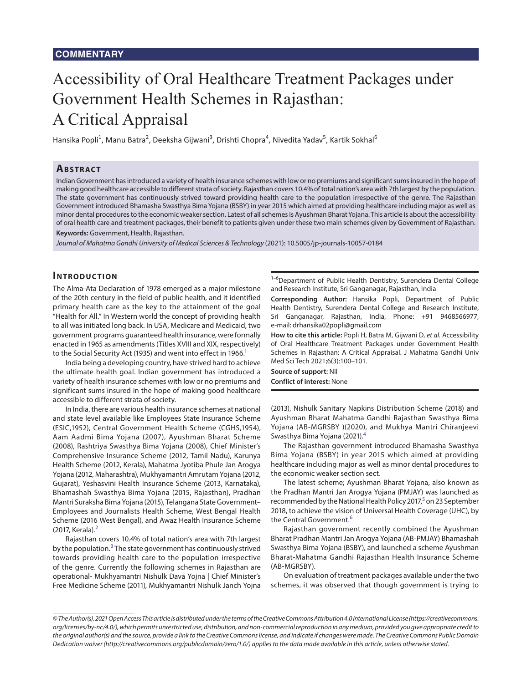# Accessibility of Oral Healthcare Treatment Packages under Government Health Schemes in Rajasthan: A Critical Appraisal

Hansika Popli<sup>1</sup>, Manu Batra<sup>2</sup>, Deeksha Gijwani<sup>3</sup>, Drishti Chopra<sup>4</sup>, Nivedita Yadav<sup>5</sup>, Kartik Sokhal<sup>6</sup>

## **ABSTRACT**

Indian Government has introduced a variety of health insurance schemes with low or no premiums and significant sums insured in the hope of making good healthcare accessible to different strata of society. Rajasthan covers 10.4% of total nation's area with 7th largest by the population. The state government has continuously strived toward providing health care to the population irrespective of the genre. The Rajasthan Government introduced Bhamasha Swasthya Bima Yojana (BSBY) in year 2015 which aimed at providing healthcare including major as well as minor dental procedures to the economic weaker section. Latest of all schemes is Ayushman Bharat Yojana. This article is about the accessibility of oral health care and treatment packages, their benefit to patients given under these two main schemes given by Government of Rajasthan. **Keywords:** Government, Health, Rajasthan.

*Journal of Mahatma Gandhi University of Medical Sciences & Technology* (2021): 10.5005/jp-journals-10057-0184

## **Introduc tion**

The Alma-Ata Declaration of 1978 emerged as a major milestone of the 20th century in the field of public health, and it identified primary health care as the key to the attainment of the goal "Health for All." In Western world the concept of providing health to all was initiated long back. In USA, Medicare and Medicaid, two government programs guaranteed health insurance, were formally enacted in 1965 as amendments (Titles XVIII and XIX, respectively) to the Social Security Act (1935) and went into effect in 1966.<sup>1</sup>

India being a developing country, have strived hard to achieve the ultimate health goal. Indian government has introduced a variety of health insurance schemes with low or no premiums and significant sums insured in the hope of making good healthcare accessible to different strata of society.

In India, there are various health insurance schemes at national and state level available like Employees State Insurance Scheme (ESIC,1952), Central Government Health Scheme (CGHS,1954), Aam Aadmi Bima Yojana (2007), Ayushman Bharat Scheme (2008), Rashtriya Swasthya Bima Yojana (2008), Chief Minister's Comprehensive Insurance Scheme (2012, Tamil Nadu), Karunya Health Scheme (2012, Kerala), Mahatma Jyotiba Phule Jan Arogya Yojana (2012, Maharashtra), Mukhyamantri Amrutam Yojana (2012, Gujarat), Yeshasvini Health Insurance Scheme (2013, Karnataka), Bhamashah Swasthya Bima Yojana (2015, Rajasthan), Pradhan Mantri Suraksha Bima Yojana (2015), Telangana State Government– Employees and Journalists Health Scheme, West Bengal Health Scheme (2016 West Bengal), and Awaz Health Insurance Scheme ([2](#page-1-2)017, Kerala).<sup>2</sup>

<span id="page-0-1"></span>Rajasthan covers 10.4% of total nation's area with 7th largest by the population.<sup>[3](#page-1-3)</sup> The state government has continuously strived towards providing health care to the population irrespective of the genre. Currently the following schemes in Rajasthan are operational- Mukhyamantri Nishulk Dava Yojna | Chief Minister's Free Medicine Scheme (2011), Mukhyamantri Nishulk Janch Yojna

<sup>1-6</sup>Department of Public Health Dentistry, Surendera Dental College and Research Institute, Sri Ganganagar, Rajasthan, India

**Corresponding Author:** Hansika Popli, Department of Public Health Dentistry, Surendera Dental College and Research Institute, Sri Ganganagar, Rajasthan, India, Phone: +91 9468566977, e-mail: drhansika02popli@gmail.com

<span id="page-0-0"></span>**How to cite this article:** Popli H, Batra M, Gijwani D, *et al.* Accessibility of Oral Healthcare Treatment Packages under Government Health Schemes in Rajasthan: A Critical Appraisal. J Mahatma Gandhi Univ Med Sci Tech 2021;6(3):100–101.

**Source of support:** Nil **Conflict of interest:** None

(2013), Nishulk Sanitary Napkins Distribution Scheme (2018) and Ayushman Bharat Mahatma Gandhi Rajasthan Swasthya Bima Yojana (AB-MGRSBY )(2020), and Mukhya Mantri Chiranjeevi Swasthya Bima Yojana (2021).[4](#page-1-0)

<span id="page-0-3"></span>The Rajasthan government introduced Bhamasha Swasthya Bima Yojana (BSBY) in year 2015 which aimed at providing healthcare including major as well as minor dental procedures to the economic weaker section sect.

The latest scheme; Ayushman Bharat Yojana, also known as the Pradhan Mantri Jan Arogya Yojana (PMJAY) was launched as recommended by the National Health Policy 2017,<sup>5</sup> on 23 September 2018, to achieve the vision of Universal Health Coverage (UHC), by the Central Government.<sup>6</sup>

<span id="page-0-2"></span>Rajasthan government recently combined the Ayushman Bharat Pradhan Mantri Jan Arogya Yojana (AB-PMJAY) Bhamashah Swasthya Bima Yojana (BSBY), and launched a scheme Ayushman Bharat-Mahatma Gandhi Rajasthan Health Insurance Scheme (AB-MGRSBY).

On evaluation of treatment packages available under the two schemes, it was observed that though government is trying to

*<sup>©</sup> The Author(s). 2021 Open Access This article is distributed under the terms of the Creative Commons Attribution 4.0 International License (https://creativecommons. org/licenses/by-nc/4.0/), which permits unrestricted use, distribution, and non-commercial reproduction in any medium, provided you give appropriate credit to the original author(s) and the source, provide a link to the Creative Commons license, and indicate if changes were made. The Creative Commons Public Domain Dedication waiver (http://creativecommons.org/publicdomain/zero/1.0/) applies to the data made available in this article, unless otherwise stated.*